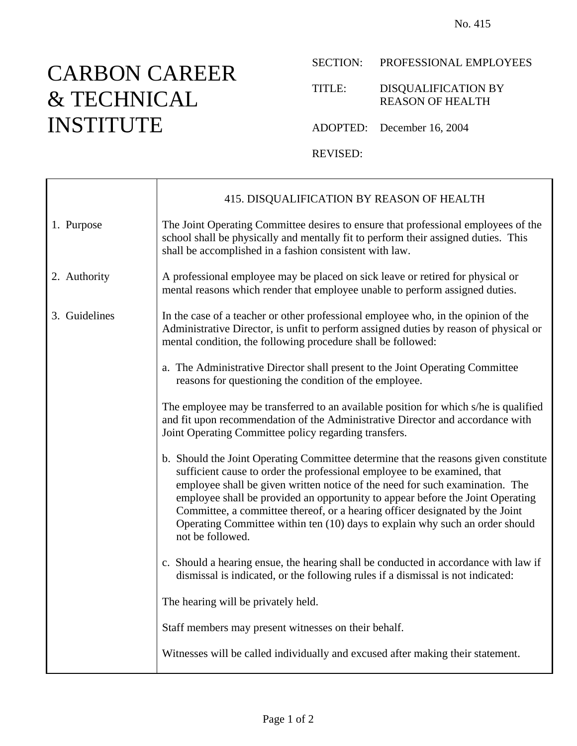## CARBON CAREER & TECHNICAL INSTITUTE

 $\top$ 

 $\Gamma$ 

SECTION: PROFESSIONAL EMPLOYEES

TITLE: DISQUALIFICATION BY REASON OF HEALTH

ADOPTED: December 16, 2004

REVISED:

|               | 415. DISQUALIFICATION BY REASON OF HEALTH                                                                                                                                                                                                                                                                                                                                                                                                                                                                             |
|---------------|-----------------------------------------------------------------------------------------------------------------------------------------------------------------------------------------------------------------------------------------------------------------------------------------------------------------------------------------------------------------------------------------------------------------------------------------------------------------------------------------------------------------------|
| 1. Purpose    | The Joint Operating Committee desires to ensure that professional employees of the<br>school shall be physically and mentally fit to perform their assigned duties. This<br>shall be accomplished in a fashion consistent with law.                                                                                                                                                                                                                                                                                   |
| 2. Authority  | A professional employee may be placed on sick leave or retired for physical or<br>mental reasons which render that employee unable to perform assigned duties.                                                                                                                                                                                                                                                                                                                                                        |
| 3. Guidelines | In the case of a teacher or other professional employee who, in the opinion of the<br>Administrative Director, is unfit to perform assigned duties by reason of physical or<br>mental condition, the following procedure shall be followed:                                                                                                                                                                                                                                                                           |
|               | a. The Administrative Director shall present to the Joint Operating Committee<br>reasons for questioning the condition of the employee.                                                                                                                                                                                                                                                                                                                                                                               |
|               | The employee may be transferred to an available position for which s/he is qualified<br>and fit upon recommendation of the Administrative Director and accordance with<br>Joint Operating Committee policy regarding transfers.                                                                                                                                                                                                                                                                                       |
|               | b. Should the Joint Operating Committee determine that the reasons given constitute<br>sufficient cause to order the professional employee to be examined, that<br>employee shall be given written notice of the need for such examination. The<br>employee shall be provided an opportunity to appear before the Joint Operating<br>Committee, a committee thereof, or a hearing officer designated by the Joint<br>Operating Committee within ten (10) days to explain why such an order should<br>not be followed. |
|               | c. Should a hearing ensue, the hearing shall be conducted in accordance with law if<br>dismissal is indicated, or the following rules if a dismissal is not indicated:                                                                                                                                                                                                                                                                                                                                                |
|               | The hearing will be privately held.                                                                                                                                                                                                                                                                                                                                                                                                                                                                                   |
|               | Staff members may present witnesses on their behalf.                                                                                                                                                                                                                                                                                                                                                                                                                                                                  |
|               | Witnesses will be called individually and excused after making their statement.                                                                                                                                                                                                                                                                                                                                                                                                                                       |